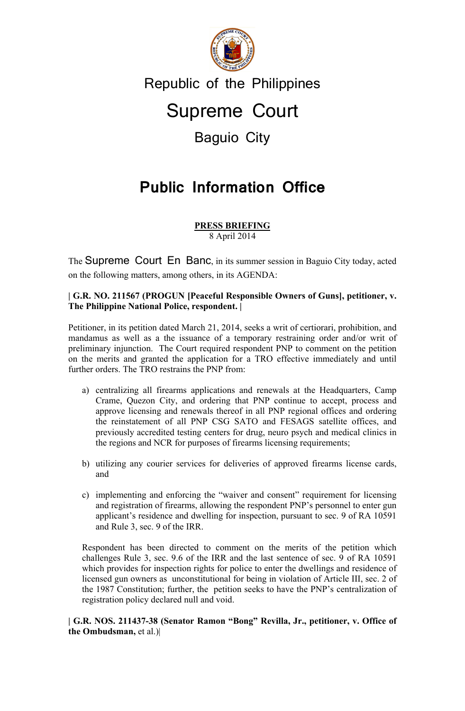

## Republic of the Philippines

# Supreme Court

## Baguio City

# **Public Information Office**

#### 8 April 2014 **PRESS BRIEFING**

The Supreme Court En Banc, in its summer session in Baguio City today, acted on the following matters, among others, in its AGENDA:

### **| G.R. NO. 211567 (PROGUN [Peaceful Responsible Owners of Guns], petitioner, v. The Philippine National Police, respondent. |**

Petitioner, in its petition dated March 21, 2014, seeks a writ of certiorari, prohibition, and mandamus as well as a the issuance of a temporary restraining order and/or writ of preliminary injunction. The Court required respondent PNP to comment on the petition on the merits and granted the application for a TRO effective immediately and until further orders. The TRO restrains the PNP from:

- a) centralizing all firearms applications and renewals at the Headquarters, Camp Crame, Quezon City, and ordering that PNP continue to accept, process and approve licensing and renewals thereof in all PNP regional offices and ordering the reinstatement of all PNP CSG SATO and FESAGS satellite offices, and previously accredited testing centers for drug, neuro psych and medical clinics in the regions and NCR for purposes of firearms licensing requirements;
- b) utilizing any courier services for deliveries of approved firearms license cards, and
- c) implementing and enforcing the "waiver and consent" requirement for licensing and registration of firearms, allowing the respondent PNP's personnel to enter gun applicant's residence and dwelling for inspection, pursuant to sec. 9 of RA 10591 and Rule 3, sec. 9 of the IRR.

Respondent has been directed to comment on the merits of the petition which challenges Rule 3, sec. 9.6 of the IRR and the last sentence of sec. 9 of RA 10591 which provides for inspection rights for police to enter the dwellings and residence of licensed gun owners as unconstitutional for being in violation of Article III, sec. 2 of the 1987 Constitution; further, the petition seeks to have the PNP's centralization of registration policy declared null and void.

**| G.R. NOS. 211437-38 (Senator Ramon "Bong" Revilla, Jr., petitioner, v. Office of the Ombudsman,** et al.)|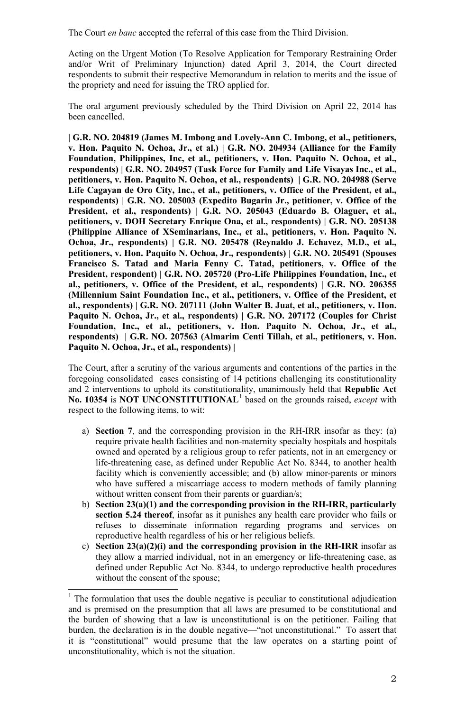The Court *en banc* accepted the referral of this case from the Third Division.

Acting on the Urgent Motion (To Resolve Application for Temporary Restraining Order and/or Writ of Preliminary Injunction) dated April 3, 2014, the Court directed respondents to submit their respective Memorandum in relation to merits and the issue of the propriety and need for issuing the TRO applied for.

The oral argument previously scheduled by the Third Division on April 22, 2014 has been cancelled.

**| G.R. NO. 204819 (James M. Imbong and Lovely-Ann C. Imbong, et al., petitioners, v. Hon. Paquito N. Ochoa, Jr., et al.) | G.R. NO. 204934 (Alliance for the Family Foundation, Philippines, Inc, et al., petitioners, v. Hon. Paquito N. Ochoa, et al., respondents) | G.R. NO. 204957 (Task Force for Family and Life Visayas Inc., et al., petitioners, v. Hon. Paquito N. Ochoa, et al., respondents) | G.R. NO. 204988 (Serve Life Cagayan de Oro City, Inc., et al., petitioners, v. Office of the President, et al., respondents) | G.R. NO. 205003 (Expedito Bugarin Jr., petitioner, v. Office of the President, et al., respondents) | G.R. NO. 205043 (Eduardo B. Olaguer, et al., petitioners, v. DOH Secretary Enrique Ona, et al., respondents) | G.R. NO. 205138 (Philippine Alliance of XSeminarians, Inc., et al., petitioners, v. Hon. Paquito N. Ochoa, Jr., respondents) | G.R. NO. 205478 (Reynaldo J. Echavez, M.D., et al., petitioners, v. Hon. Paquito N. Ochoa, Jr., respondents) | G.R. NO. 205491 (Spouses Francisco S. Tatad and Maria Fenny C. Tatad, petitioners, v. Office of the President, respondent) | G.R. NO. 205720 (Pro-Life Philippines Foundation, Inc., et al., petitioners, v. Office of the President, et al., respondents) | G.R. NO. 206355 (Millennium Saint Foundation Inc., et al., petitioners, v. Office of the President, et al., respondents) | G.R. NO. 207111 (John Walter B. Juat, et al., petitioners, v. Hon. Paquito N. Ochoa, Jr., et al., respondents) | G.R. NO. 207172 (Couples for Christ Foundation, Inc., et al., petitioners, v. Hon. Paquito N. Ochoa, Jr., et al., respondents) | G.R. NO. 207563 (Almarim Centi Tillah, et al., petitioners, v. Hon. Paquito N. Ochoa, Jr., et al., respondents) |**

The Court, after a scrutiny of the various arguments and contentions of the parties in the foregoing consolidated cases consisting of 14 petitions challenging its constitutionality and 2 interventions to uphold its constitutionality, unanimously held that **Republic Act No. 10354** is **NOT UNCONSTITUTIONAL**[1](#page-1-0) based on the grounds raised, *except* with respect to the following items, to wit:

- a) **Section 7**, and the corresponding provision in the RH-IRR insofar as they: (a) require private health facilities and non-maternity specialty hospitals and hospitals owned and operated by a religious group to refer patients, not in an emergency or life-threatening case, as defined under Republic Act No. 8344, to another health facility which is conveniently accessible; and (b) allow minor-parents or minors who have suffered a miscarriage access to modern methods of family planning without written consent from their parents or guardian/s;
- b) **Section 23(a)(1) and the corresponding provision in the RH-IRR, particularly section 5.24 thereof**, insofar as it punishes any health care provider who fails or refuses to disseminate information regarding programs and services on reproductive health regardless of his or her religious beliefs.
- c) **Section 23(a)(2)(i) and the corresponding provision in the RH-IRR** insofar as they allow a married individual, not in an emergency or life-threatening case, as defined under Republic Act No. 8344, to undergo reproductive health procedures without the consent of the spouse;

<span id="page-1-0"></span> $1$ . The formulation that uses the double negative is peculiar to constitutional adjudication and is premised on the presumption that all laws are presumed to be constitutional and the burden of showing that a law is unconstitutional is on the petitioner. Failing that burden, the declaration is in the double negative—"not unconstitutional." To assert that it is "constitutional" would presume that the law operates on a starting point of unconstitutionality, which is not the situation.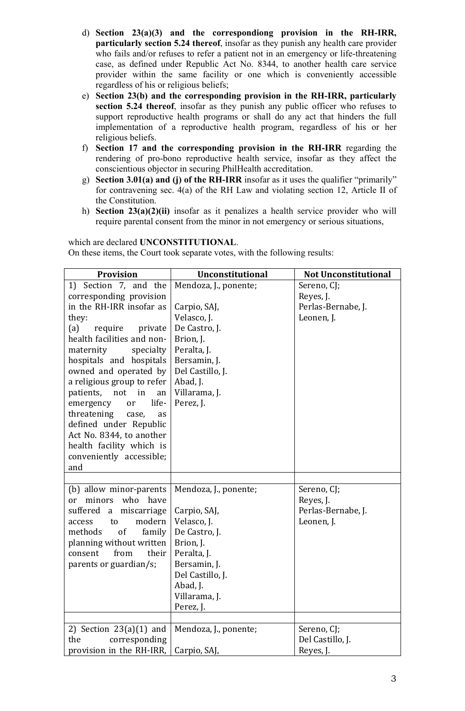- d) **Section 23(a)(3) and the correspondiong provision in the RH-IRR, particularly section 5.24 thereof**, insofar as they punish any health care provider who fails and/or refuses to refer a patient not in an emergency or life-threatening case, as defined under Republic Act No. 8344, to another health care service provider within the same facility or one which is conveniently accessible regardless of his or religious beliefs;
- e) **Section 23(b) and the corresponding provision in the RH-IRR, particularly section 5.24 thereof**, insofar as they punish any public officer who refuses to support reproductive health programs or shall do any act that hinders the full implementation of a reproductive health program, regardless of his or her religious beliefs.
- f) **Section 17 and the corresponding provision in the RH-IRR** regarding the rendering of pro-bono reproductive health service, insofar as they affect the conscientious objector in securing PhilHealth accreditation.
- g) **Section 3.01(a) and (j) of the RH-IRR** insofar as it uses the qualifier "primarily" for contravening sec. 4(a) of the RH Law and violating section 12, Article II of the Constitution.
- h) **Section 23(a)(2)(ii)** insofar as it penalizes a health service provider who will require parental consent from the minor in not emergency or serious situations,

#### which are declared **UNCONSTITUTIONAL**.

On these items, the Court took separate votes, with the following results:

| <b>Provision</b>                       | Unconstitutional      | <b>Not Unconstitutional</b> |
|----------------------------------------|-----------------------|-----------------------------|
| 1) Section 7, and the                  | Mendoza, J., ponente; | Sereno, CJ;                 |
| corresponding provision                |                       | Reyes, J.                   |
| in the RH-IRR insofar as               | Carpio, SAJ,          | Perlas-Bernabe, J.          |
| they:                                  | Velasco, J.           | Leonen, J.                  |
| (a)<br>require<br>private              | De Castro, J.         |                             |
| health facilities and non-             | Brion, J.             |                             |
| maternity<br>specialty                 | Peralta, J.           |                             |
| hospitals and hospitals                | Bersamin, J.          |                             |
| owned and operated by                  | Del Castillo, J.      |                             |
| a religious group to refer             | Abad, J.              |                             |
| patients, not<br>in<br>an              | Villarama, J.         |                             |
| life-<br>emergency<br><b>or</b>        | Perez, J.             |                             |
| threatening<br>case,<br>as             |                       |                             |
| defined under Republic                 |                       |                             |
| Act No. 8344, to another               |                       |                             |
| health facility which is               |                       |                             |
| conveniently accessible;               |                       |                             |
| and                                    |                       |                             |
|                                        |                       |                             |
| (b) allow minor-parents                | Mendoza, J., ponente; | Sereno, CJ;                 |
| who<br>minors<br>have<br><sub>or</sub> |                       | Reyes, J.                   |
| suffered a<br>miscarriage              | Carpio, SAJ,          | Perlas-Bernabe, J.          |
| modern<br>to<br>access                 | Velasco, J.           | Leonen, J.                  |
| of<br>methods<br>family                | De Castro, J.         |                             |
| planning without written               | Brion, J.             |                             |
| from<br>consent<br>their               | Peralta, J.           |                             |
| parents or guardian/s;                 | Bersamin, J.          |                             |
|                                        | Del Castillo, J.      |                             |
|                                        | Abad, J.              |                             |
|                                        | Villarama, J.         |                             |
|                                        | Perez, J.             |                             |
|                                        |                       |                             |
| 2) Section $23(a)(1)$ and              | Mendoza, J., ponente; | Sereno, CJ;                 |
| the<br>corresponding                   |                       | Del Castillo, J.            |
| provision in the RH-IRR,               | Carpio, SAJ,          | Reyes, J.                   |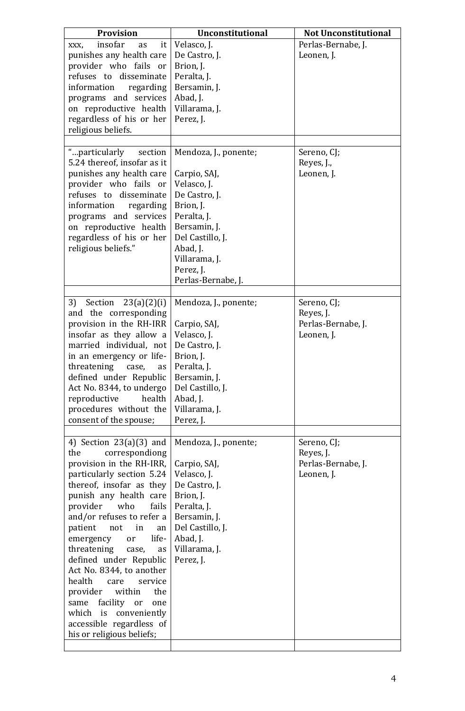| <b>Provision</b>                                                                                                                                                                                                                                                                                                                                                                                                                                                                                                                                | Unconstitutional                                                                                                                                                                                      | <b>Not Unconstitutional</b>                                  |
|-------------------------------------------------------------------------------------------------------------------------------------------------------------------------------------------------------------------------------------------------------------------------------------------------------------------------------------------------------------------------------------------------------------------------------------------------------------------------------------------------------------------------------------------------|-------------------------------------------------------------------------------------------------------------------------------------------------------------------------------------------------------|--------------------------------------------------------------|
| insofar<br>it<br>as<br>XXX,<br>punishes any health care<br>provider who fails or<br>refuses to disseminate<br>information<br>regarding<br>programs and services<br>on reproductive health<br>regardless of his or her<br>religious beliefs.                                                                                                                                                                                                                                                                                                     | Velasco, J.<br>De Castro, J.<br>Brion, J.<br>Peralta, J.<br>Bersamin, J.<br>Abad, J.<br>Villarama, J.<br>Perez, J.                                                                                    | Perlas-Bernabe, J.<br>Leonen, J.                             |
| "particularly<br>section<br>5.24 thereof, insofar as it<br>punishes any health care<br>provider who fails or<br>refuses to disseminate<br>information<br>regarding<br>programs and services<br>on reproductive health<br>regardless of his or her<br>religious beliefs."                                                                                                                                                                                                                                                                        | Mendoza, J., ponente;<br>Carpio, SAJ,<br>Velasco, J.<br>De Castro, J.<br>Brion, J.<br>Peralta, J.<br>Bersamin, J.<br>Del Castillo, J.<br>Abad, J.<br>Villarama, J.<br>Perez, J.<br>Perlas-Bernabe, J. | Sereno, CJ;<br>Reyes, J.,<br>Leonen, J.                      |
| 3)<br>Section $23(a)(2)(i)$<br>and the corresponding<br>provision in the RH-IRR<br>insofar as they allow a<br>married individual, not<br>in an emergency or life-<br>threatening case, as<br>defined under Republic<br>Act No. 8344, to undergo<br>reproductive<br>health<br>procedures without the<br>consent of the spouse;                                                                                                                                                                                                                   | Mendoza, J., ponente;<br>Carpio, SAJ,<br>Velasco, J.<br>De Castro, J.<br>Brion, J.<br>Peralta, J.<br>Bersamin, J.<br>Del Castillo, J.<br>Abad, J.<br>Villarama, J.<br>Perez, J.                       | Sereno, CJ;<br>Reyes, J.<br>Perlas-Bernabe, J.<br>Leonen, J. |
| 4) Section $23(a)(3)$ and<br>the<br>correspondiong<br>provision in the RH-IRR,<br>particularly section 5.24<br>thereof, insofar as they<br>punish any health care<br>provider<br>who<br>fails<br>and/or refuses to refer a<br>patient<br>not<br>in<br>an<br>life-<br>emergency<br>or<br>threatening<br>case,<br>as<br>defined under Republic<br>Act No. 8344, to another<br>health<br>service<br>care<br>provider<br>within<br>the<br>same facility or<br>one<br>which is conveniently<br>accessible regardless of<br>his or religious beliefs; | Mendoza, J., ponente;<br>Carpio, SAJ,<br>Velasco, J.<br>De Castro, J.<br>Brion, J.<br>Peralta, J.<br>Bersamin, J.<br>Del Castillo, J.<br>Abad, J.<br>Villarama, J.<br>Perez, J.                       | Sereno, CJ;<br>Reyes, J.<br>Perlas-Bernabe, J.<br>Leonen, J. |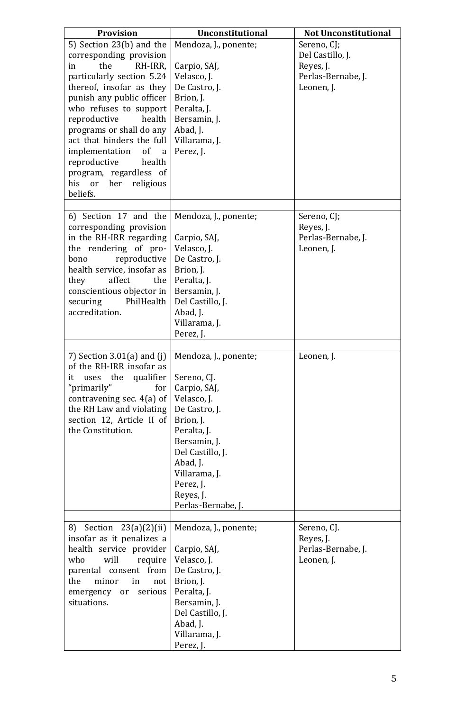| <b>Provision</b>                                                                                                                                                                                                                                                                                                                                                                              | Unconstitutional                                                                                                                                                                                                                  | <b>Not Unconstitutional</b>                                                      |
|-----------------------------------------------------------------------------------------------------------------------------------------------------------------------------------------------------------------------------------------------------------------------------------------------------------------------------------------------------------------------------------------------|-----------------------------------------------------------------------------------------------------------------------------------------------------------------------------------------------------------------------------------|----------------------------------------------------------------------------------|
| 5) Section 23(b) and the<br>corresponding provision<br>the<br>RH-IRR,<br>in<br>particularly section 5.24<br>thereof, insofar as they<br>punish any public officer<br>who refuses to support<br>reproductive<br>health<br>programs or shall do any<br>act that hinders the full<br>implementation<br>of<br>a<br>reproductive<br>health<br>program, regardless of<br>his or<br>religious<br>her | Mendoza, J., ponente;<br>Carpio, SAJ,<br>Velasco, J.<br>De Castro, J.<br>Brion, J.<br>Peralta, J.<br>Bersamin, J.<br>Abad, J.<br>Villarama, J.<br>Perez, J.                                                                       | Sereno, CJ;<br>Del Castillo, J.<br>Reyes, J.<br>Perlas-Bernabe, J.<br>Leonen, J. |
| beliefs.                                                                                                                                                                                                                                                                                                                                                                                      |                                                                                                                                                                                                                                   |                                                                                  |
| 6) Section 17 and the<br>corresponding provision<br>in the RH-IRR regarding<br>the rendering of pro-<br>reproductive<br>bono<br>health service, insofar as<br>affect<br>they<br>the<br>conscientious objector in<br>securing<br>PhilHealth<br>accreditation.                                                                                                                                  | Mendoza, J., ponente;<br>Carpio, SAJ,<br>Velasco, J.<br>De Castro, J.<br>Brion, J.<br>Peralta, J.<br>Bersamin, J.<br>Del Castillo, J.<br>Abad, J.<br>Villarama, J.<br>Perez, J.                                                   | Sereno, CJ;<br>Reyes, J.<br>Perlas-Bernabe, J.<br>Leonen, J.                     |
| 7) Section $3.01(a)$ and $(j)$<br>of the RH-IRR insofar as<br>qualifier<br>it<br>uses the<br>"primarily"<br>for<br>contravening sec. $4(a)$ of<br>the RH Law and violating<br>section 12, Article II of<br>the Constitution.                                                                                                                                                                  | Mendoza, J., ponente;<br>Sereno, CJ.<br>Carpio, SAJ,<br>Velasco, J.<br>De Castro, J.<br>Brion, J.<br>Peralta, J.<br>Bersamin, J.<br>Del Castillo, J.<br>Abad, J.<br>Villarama, J.<br>Perez, J.<br>Reyes, J.<br>Perlas-Bernabe, J. | Leonen, J.                                                                       |
| Section $23(a)(2)(ii)$<br>8)<br>insofar as it penalizes a<br>health service provider<br>who<br>will<br>require<br>parental<br>consent from<br>the<br>minor<br>in<br>not<br>serious<br>emergency<br>or<br>situations.                                                                                                                                                                          | Mendoza, J., ponente;<br>Carpio, SAJ,<br>Velasco, J.<br>De Castro, J.<br>Brion, J.<br>Peralta, J.<br>Bersamin, J.<br>Del Castillo, J.<br>Abad, J.<br>Villarama, J.<br>Perez, J.                                                   | Sereno, CJ.<br>Reyes, J.<br>Perlas-Bernabe, J.<br>Leonen, J.                     |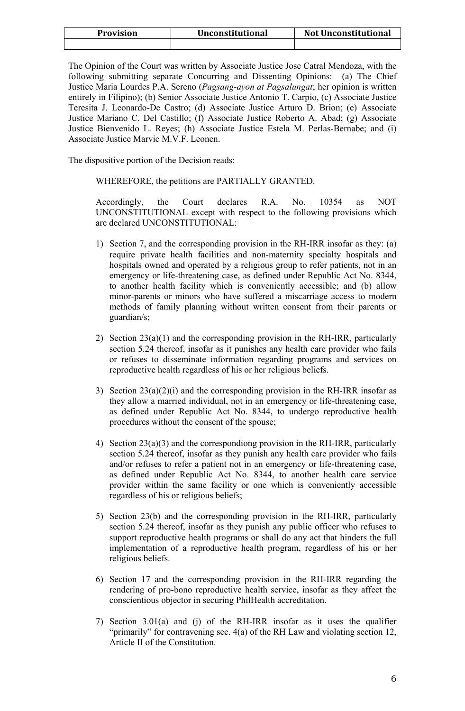| <b>Provision</b> | Unconstitutional | <b>Not Unconstitutional</b> |
|------------------|------------------|-----------------------------|
|                  |                  |                             |

The Opinion of the Court was written by Associate Justice Jose Catral Mendoza, with the following submitting separate Concurring and Dissenting Opinions: (a) The Chief Justice Maria Lourdes P.A. Sereno (*Pagsang-ayon at Pagsalungat*; her opinion is written entirely in Filipino); (b) Senior Associate Justice Antonio T. Carpio, (c) Associate Justice Teresita J. Leonardo-De Castro; (d) Associate Justice Arturo D. Brion; (e) Associate Justice Mariano C. Del Castillo; (f) Associate Justice Roberto A. Abad; (g) Associate Justice Bienvenido L. Reyes; (h) Associate Justice Estela M. Perlas-Bernabe; and (i) Associate Justice Marvic M.V.F. Leonen.

The dispositive portion of the Decision reads:

### WHEREFORE, the petitions are PARTIALLY GRANTED.

Accordingly, the Court declares R.A. No. 10354 as NOT UNCONSTITUTIONAL except with respect to the following provisions which are declared UNCONSTITUTIONAL:

- 1) Section 7, and the corresponding provision in the RH-IRR insofar as they: (a) require private health facilities and non-maternity specialty hospitals and hospitals owned and operated by a religious group to refer patients, not in an emergency or life-threatening case, as defined under Republic Act No. 8344, to another health facility which is conveniently accessible; and (b) allow minor-parents or minors who have suffered a miscarriage access to modern methods of family planning without written consent from their parents or guardian/s;
- 2) Section 23(a)(1) and the corresponding provision in the RH-IRR, particularly section 5.24 thereof, insofar as it punishes any health care provider who fails or refuses to disseminate information regarding programs and services on reproductive health regardless of his or her religious beliefs.
- 3) Section  $23(a)(2)(i)$  and the corresponding provision in the RH-IRR insofar as they allow a married individual, not in an emergency or life-threatening case, as defined under Republic Act No. 8344, to undergo reproductive health procedures without the consent of the spouse;
- 4) Section 23(a)(3) and the correspondiong provision in the RH-IRR, particularly section 5.24 thereof, insofar as they punish any health care provider who fails and/or refuses to refer a patient not in an emergency or life-threatening case, as defined under Republic Act No. 8344, to another health care service provider within the same facility or one which is conveniently accessible regardless of his or religious beliefs;
- 5) Section 23(b) and the corresponding provision in the RH-IRR, particularly section 5.24 thereof, insofar as they punish any public officer who refuses to support reproductive health programs or shall do any act that hinders the full implementation of a reproductive health program, regardless of his or her religious beliefs.
- 6) Section 17 and the corresponding provision in the RH-IRR regarding the rendering of pro-bono reproductive health service, insofar as they affect the conscientious objector in securing PhilHealth accreditation.
- 7) Section 3.01(a) and (j) of the RH-IRR insofar as it uses the qualifier "primarily" for contravening sec. 4(a) of the RH Law and violating section 12, Article II of the Constitution.